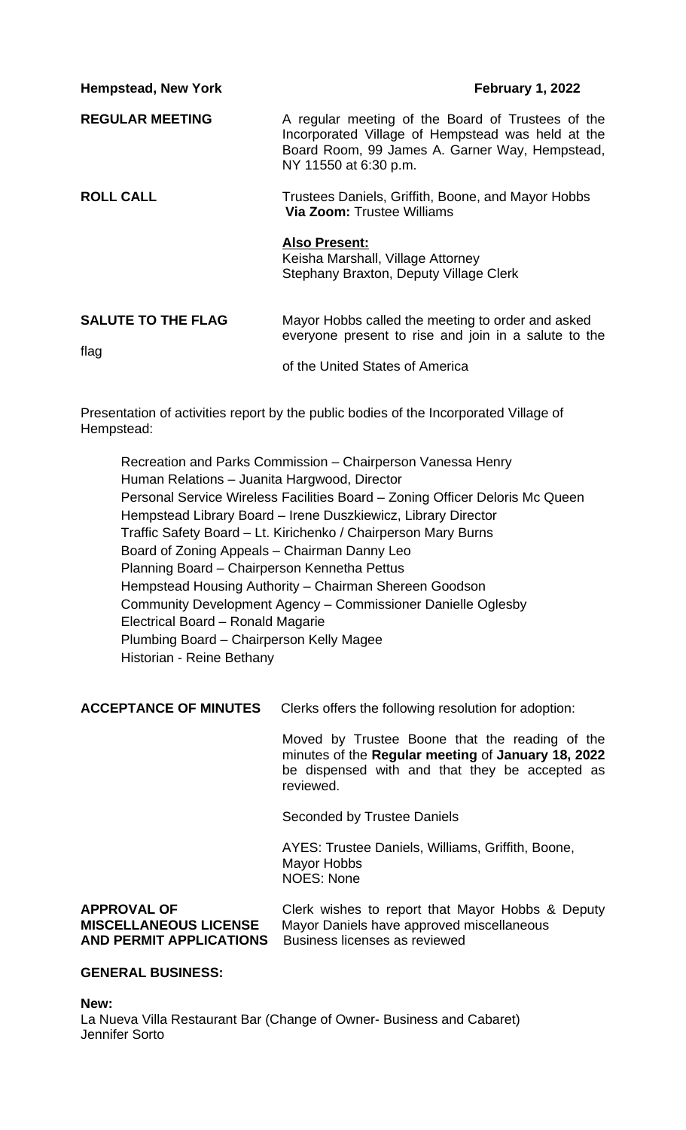**Hempstead, New York February 1, 2022 REGULAR MEETING** A regular meeting of the Board of Trustees of the Incorporated Village of Hempstead was held at the Board Room, 99 James A. Garner Way, Hempstead, NY 11550 at 6:30 p.m. **ROLL CALL** Trustees Daniels, Griffith, Boone, and Mayor Hobbs **Via Zoom:** Trustee Williams **Also Present:** Keisha Marshall, Village Attorney Stephany Braxton, Deputy Village Clerk **SALUTE TO THE FLAG** Mayor Hobbs called the meeting to order and asked everyone present to rise and join in a salute to the flag of the United States of America

Presentation of activities report by the public bodies of the Incorporated Village of Hempstead:

Recreation and Parks Commission – Chairperson Vanessa Henry Human Relations – Juanita Hargwood, Director Personal Service Wireless Facilities Board – Zoning Officer Deloris Mc Queen Hempstead Library Board – Irene Duszkiewicz, Library Director Traffic Safety Board – Lt. Kirichenko / Chairperson Mary Burns Board of Zoning Appeals – Chairman Danny Leo Planning Board – Chairperson Kennetha Pettus Hempstead Housing Authority – Chairman Shereen Goodson Community Development Agency – Commissioner Danielle Oglesby Electrical Board – Ronald Magarie Plumbing Board – Chairperson Kelly Magee Historian - Reine Bethany

**ACCEPTANCE OF MINUTES** Clerks offers the following resolution for adoption:

Moved by Trustee Boone that the reading of the minutes of the **Regular meeting** of **January 18, 2022** be dispensed with and that they be accepted as reviewed.

Seconded by Trustee Daniels

AYES: Trustee Daniels, Williams, Griffith, Boone, Mayor Hobbs NOES: None

**APPROVAL OF** Clerk wishes to report that Mayor Hobbs & Deputy **MISCELLANEOUS LICENSE** Mayor Daniels have approved miscellaneous **AND PERMIT APPLICATIONS** Business licenses as reviewed

# **GENERAL BUSINESS:**

**New:**

La Nueva Villa Restaurant Bar (Change of Owner- Business and Cabaret) Jennifer Sorto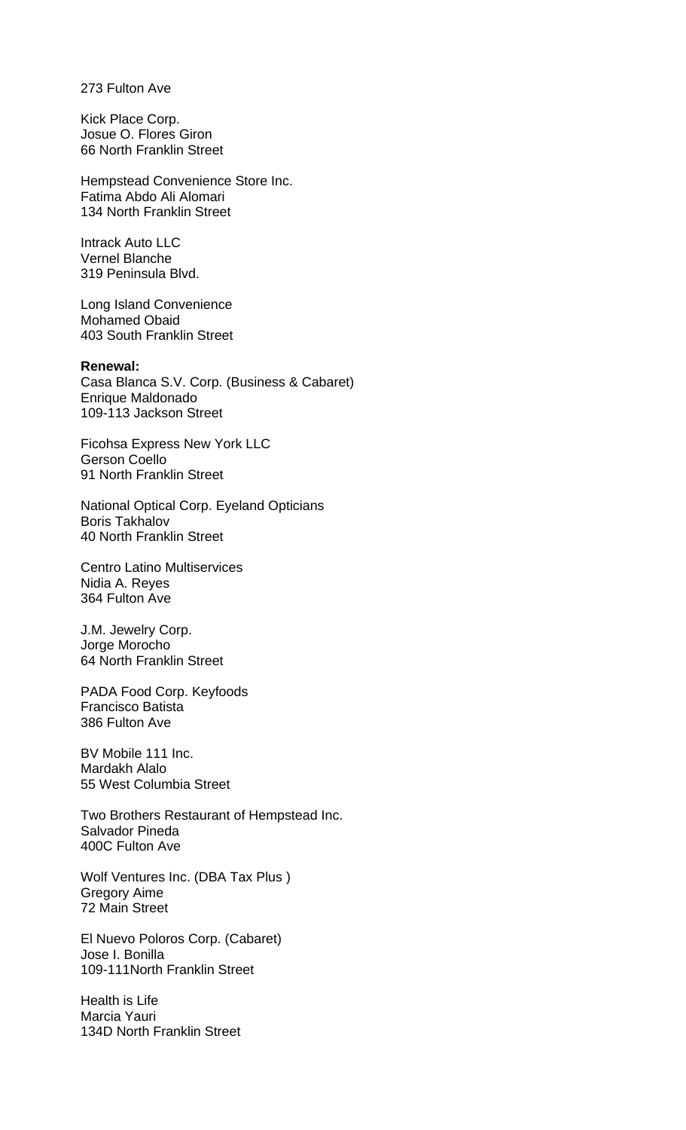273 Fulton Ave

Kick Place Corp. Josue O. Flores Giron 66 North Franklin Street

Hempstead Convenience Store Inc. Fatima Abdo Ali Alomari 134 North Franklin Street

Intrack Auto LLC Vernel Blanche 319 Peninsula Blvd.

Long Island Convenience Mohamed Obaid 403 South Franklin Street

**Renewal:**

Casa Blanca S.V. Corp. (Business & Cabaret) Enrique Maldonado 109-113 Jackson Street

Ficohsa Express New York LLC Gerson Coello 91 North Franklin Street

National Optical Corp. Eyeland Opticians Boris Takhalov 40 North Franklin Street

Centro Latino Multiservices Nidia A. Reyes 364 Fulton Ave

J.M. Jewelry Corp. Jorge Morocho 64 North Franklin Street

PADA Food Corp. Keyfoods Francisco Batista 386 Fulton Ave

BV Mobile 111 Inc. Mardakh Alalo 55 West Columbia Street

Two Brothers Restaurant of Hempstead Inc. Salvador Pineda 400C Fulton Ave

Wolf Ventures Inc. (DBA Tax Plus ) Gregory Aime 72 Main Street

El Nuevo Poloros Corp. (Cabaret) Jose I. Bonilla 109-111North Franklin Street

Health is Life Marcia Yauri 134D North Franklin Street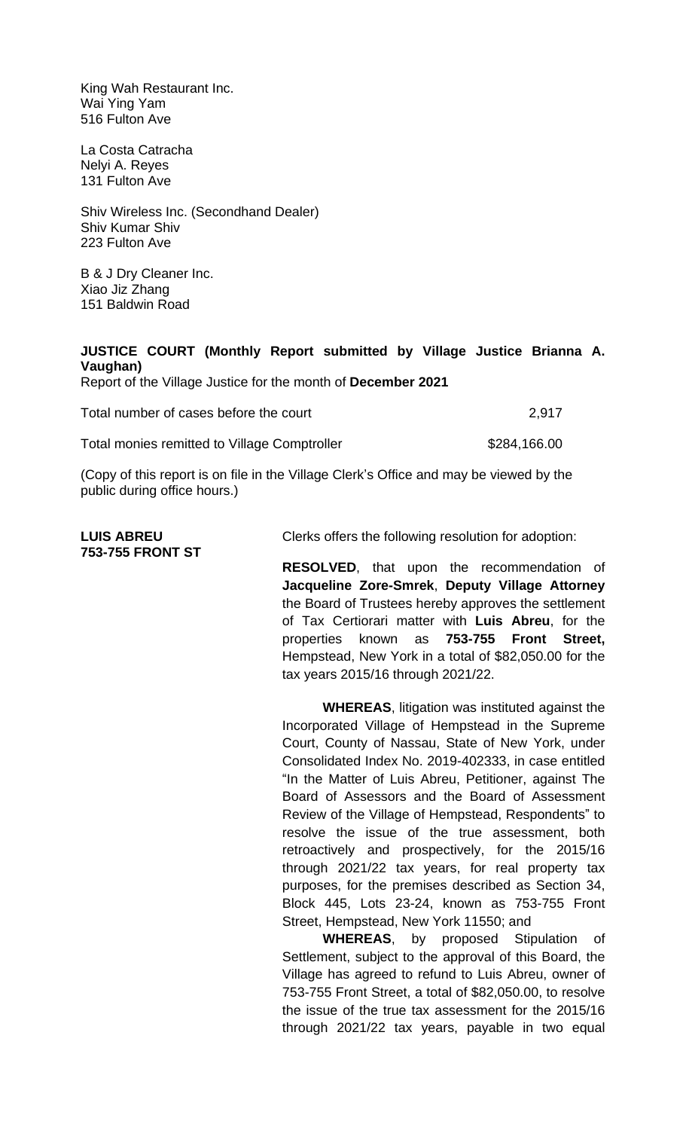King Wah Restaurant Inc. Wai Ying Yam 516 Fulton Ave

La Costa Catracha Nelyi A. Reyes 131 Fulton Ave

Shiv Wireless Inc. (Secondhand Dealer) Shiv Kumar Shiv 223 Fulton Ave

B & J Dry Cleaner Inc. Xiao Jiz Zhang 151 Baldwin Road

# **JUSTICE COURT (Monthly Report submitted by Village Justice Brianna A. Vaughan)**

Report of the Village Justice for the month of **December 2021**

| Total number of cases before the court | 2,917 |  |
|----------------------------------------|-------|--|
|                                        |       |  |

Total monies remitted to Village Comptroller **\$284,166.00** \$284,166.00

(Copy of this report is on file in the Village Clerk's Office and may be viewed by the public during office hours.)

**753-755 FRONT ST**

LUIS ABREU Clerks offers the following resolution for adoption:

**RESOLVED**, that upon the recommendation of **Jacqueline Zore-Smrek**, **Deputy Village Attorney** the Board of Trustees hereby approves the settlement of Tax Certiorari matter with **Luis Abreu**, for the properties known as **753-755 Front Street,** Hempstead, New York in a total of \$82,050.00 for the tax years 2015/16 through 2021/22.

**WHEREAS**, litigation was instituted against the Incorporated Village of Hempstead in the Supreme Court, County of Nassau, State of New York, under Consolidated Index No. 2019-402333, in case entitled "In the Matter of Luis Abreu, Petitioner, against The Board of Assessors and the Board of Assessment Review of the Village of Hempstead, Respondents" to resolve the issue of the true assessment, both retroactively and prospectively, for the 2015/16 through 2021/22 tax years, for real property tax purposes, for the premises described as Section 34, Block 445, Lots 23-24, known as 753-755 Front Street, Hempstead, New York 11550; and

**WHEREAS**, by proposed Stipulation of Settlement, subject to the approval of this Board, the Village has agreed to refund to Luis Abreu, owner of 753-755 Front Street, a total of \$82,050.00, to resolve the issue of the true tax assessment for the 2015/16 through 2021/22 tax years, payable in two equal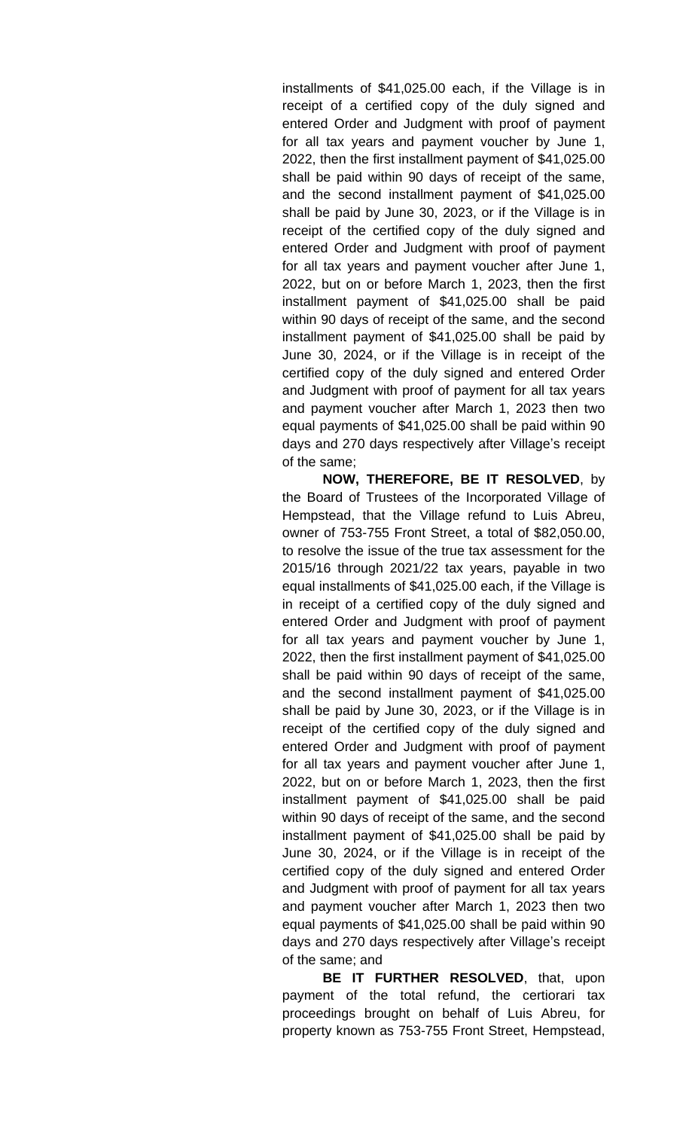installments of \$41,025.00 each, if the Village is in receipt of a certified copy of the duly signed and entered Order and Judgment with proof of payment for all tax years and payment voucher by June 1, 2022, then the first installment payment of \$41,025.00 shall be paid within 90 days of receipt of the same, and the second installment payment of \$41,025.00 shall be paid by June 30, 2023, or if the Village is in receipt of the certified copy of the duly signed and entered Order and Judgment with proof of payment for all tax years and payment voucher after June 1, 2022, but on or before March 1, 2023, then the first installment payment of \$41,025.00 shall be paid within 90 days of receipt of the same, and the second installment payment of \$41,025.00 shall be paid by June 30, 2024, or if the Village is in receipt of the certified copy of the duly signed and entered Order and Judgment with proof of payment for all tax years and payment voucher after March 1, 2023 then two equal payments of \$41,025.00 shall be paid within 90 days and 270 days respectively after Village's receipt of the same;

**NOW, THEREFORE, BE IT RESOLVED**, by the Board of Trustees of the Incorporated Village of Hempstead, that the Village refund to Luis Abreu, owner of 753-755 Front Street, a total of \$82,050.00, to resolve the issue of the true tax assessment for the 2015/16 through 2021/22 tax years, payable in two equal installments of \$41,025.00 each, if the Village is in receipt of a certified copy of the duly signed and entered Order and Judgment with proof of payment for all tax years and payment voucher by June 1, 2022, then the first installment payment of \$41,025.00 shall be paid within 90 days of receipt of the same, and the second installment payment of \$41,025.00 shall be paid by June 30, 2023, or if the Village is in receipt of the certified copy of the duly signed and entered Order and Judgment with proof of payment for all tax years and payment voucher after June 1, 2022, but on or before March 1, 2023, then the first installment payment of \$41,025.00 shall be paid within 90 days of receipt of the same, and the second installment payment of \$41,025.00 shall be paid by June 30, 2024, or if the Village is in receipt of the certified copy of the duly signed and entered Order and Judgment with proof of payment for all tax years and payment voucher after March 1, 2023 then two equal payments of \$41,025.00 shall be paid within 90 days and 270 days respectively after Village's receipt of the same; and

**BE IT FURTHER RESOLVED**, that, upon payment of the total refund, the certiorari tax proceedings brought on behalf of Luis Abreu, for property known as 753-755 Front Street, Hempstead,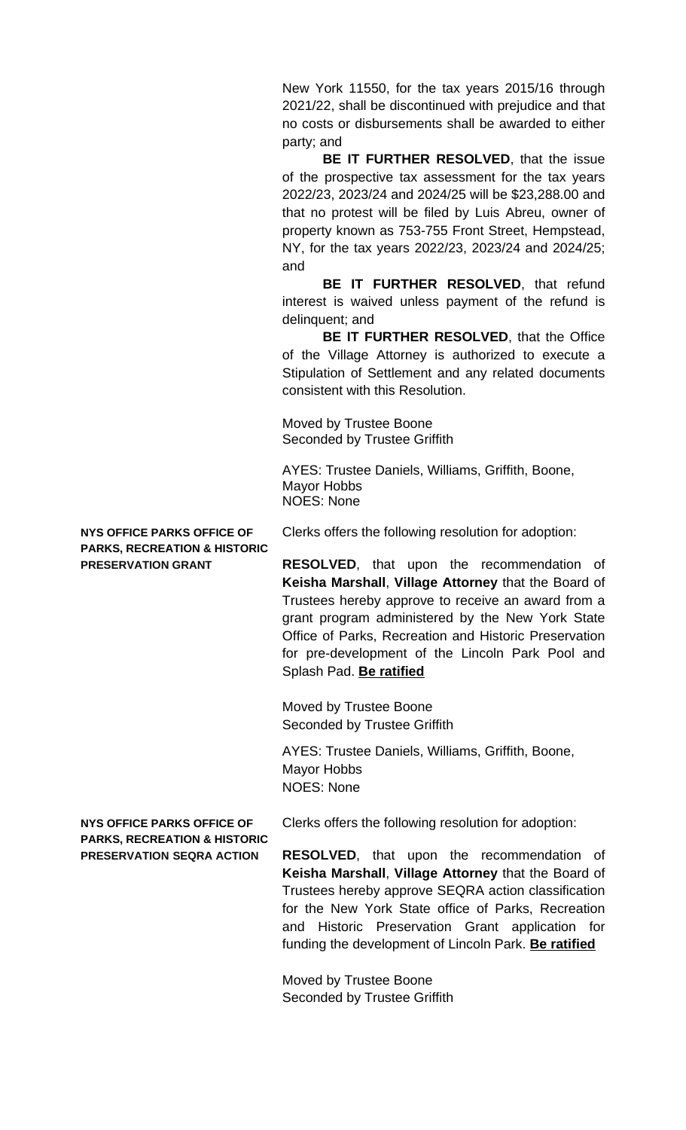New York 11550, for the tax years 2015/16 through 2021/22, shall be discontinued with prejudice and that no costs or disbursements shall be awarded to either party; and

**BE IT FURTHER RESOLVED**, that the issue of the prospective tax assessment for the tax years 2022/23, 2023/24 and 2024/25 will be \$23,288.00 and that no protest will be filed by Luis Abreu, owner of property known as 753-755 Front Street, Hempstead, NY, for the tax years 2022/23, 2023/24 and 2024/25; and

**BE IT FURTHER RESOLVED**, that refund interest is waived unless payment of the refund is delinquent; and

**BE IT FURTHER RESOLVED**, that the Office of the Village Attorney is authorized to execute a Stipulation of Settlement and any related documents consistent with this Resolution.

Moved by Trustee Boone Seconded by Trustee Griffith

AYES: Trustee Daniels, Williams, Griffith, Boone, Mayor Hobbs NOES: None

**PARKS, RECREATION & HISTORIC**

**NYS OFFICE PARKS OFFICE OF** Clerks offers the following resolution for adoption:

**PRESERVATION GRANT RESOLVED**, that upon the recommendation of **Keisha Marshall**, **Village Attorney** that the Board of Trustees hereby approve to receive an award from a grant program administered by the New York State Office of Parks, Recreation and Historic Preservation for pre-development of the Lincoln Park Pool and Splash Pad. **Be ratified**

> Moved by Trustee Boone Seconded by Trustee Griffith

AYES: Trustee Daniels, Williams, Griffith, Boone, Mayor Hobbs NOES: None

**PARKS, RECREATION & HISTORIC**

**NYS OFFICE PARKS OFFICE OF** Clerks offers the following resolution for adoption:

**PRESERVATION SEQRA ACTION RESOLVED**, that upon the recommendation of **Keisha Marshall**, **Village Attorney** that the Board of Trustees hereby approve SEQRA action classification for the New York State office of Parks, Recreation and Historic Preservation Grant application for funding the development of Lincoln Park. **Be ratified**

> Moved by Trustee Boone Seconded by Trustee Griffith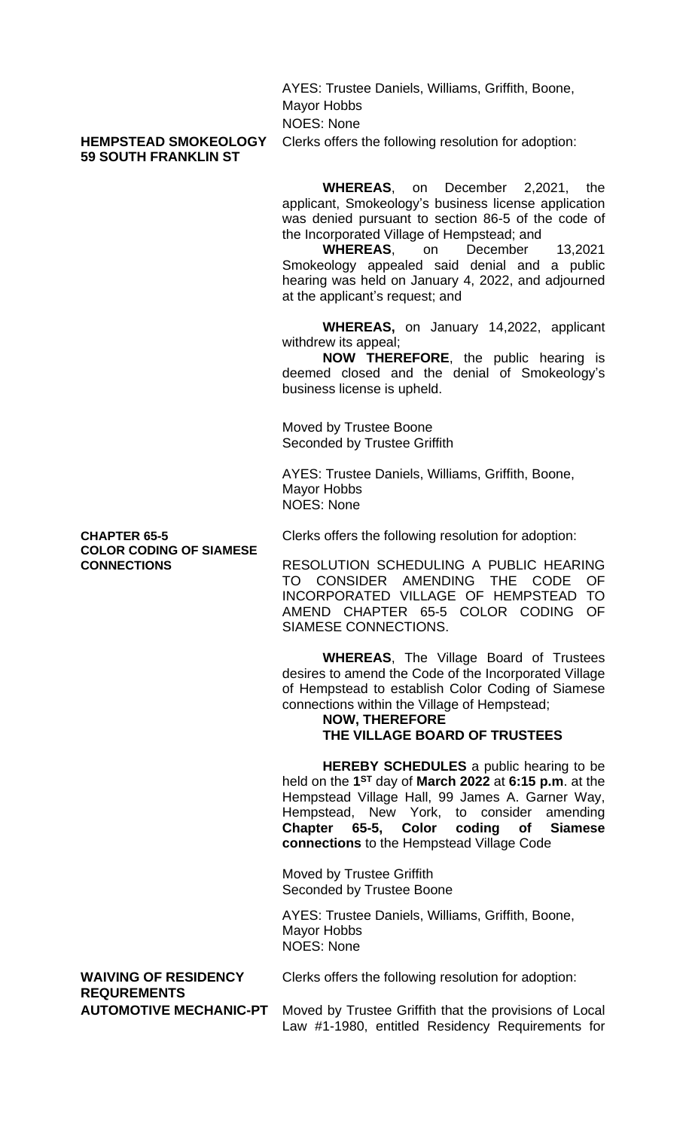AYES: Trustee Daniels, Williams, Griffith, Boone, Mayor Hobbs NOES: None

# **59 SOUTH FRANKLIN ST**

**HEMPSTEAD SMOKEOLOGY** Clerks offers the following resolution for adoption:

**WHEREAS**, on December 2,2021, the applicant, Smokeology's business license application was denied pursuant to section 86-5 of the code of the Incorporated Village of Hempstead; and

**WHEREAS**, on December 13,2021 Smokeology appealed said denial and a public hearing was held on January 4, 2022, and adjourned at the applicant's request; and

**WHEREAS,** on January 14,2022, applicant withdrew its appeal;

**NOW THEREFORE**, the public hearing is deemed closed and the denial of Smokeology's business license is upheld.

Moved by Trustee Boone Seconded by Trustee Griffith

AYES: Trustee Daniels, Williams, Griffith, Boone, Mayor Hobbs NOES: None

**COLOR CODING OF SIAMESE**

**CHAPTER 65-5** Clerks offers the following resolution for adoption:

**CONNECTIONS** RESOLUTION SCHEDULING A PUBLIC HEARING TO CONSIDER AMENDING THE CODE OF INCORPORATED VILLAGE OF HEMPSTEAD TO AMEND CHAPTER 65-5 COLOR CODING OF SIAMESE CONNECTIONS.

> **WHEREAS**, The Village Board of Trustees desires to amend the Code of the Incorporated Village of Hempstead to establish Color Coding of Siamese connections within the Village of Hempstead;

#### **NOW, THEREFORE THE VILLAGE BOARD OF TRUSTEES**

**HEREBY SCHEDULES** a public hearing to be held on the **1 ST** day of **March 2022** at **6:15 p.m**. at the Hempstead Village Hall, 99 James A. Garner Way, Hempstead, New York, to consider amending **Chapter 65-5, Color coding of Siamese connections** to the Hempstead Village Code

Moved by Trustee Griffith Seconded by Trustee Boone

AYES: Trustee Daniels, Williams, Griffith, Boone, Mayor Hobbs NOES: None

**WAIVING OF RESIDENCY** Clerks offers the following resolution for adoption:

**REQUREMENTS**

**AUTOMOTIVE MECHANIC-PT** Moved by Trustee Griffith that the provisions of Local Law #1-1980, entitled Residency Requirements for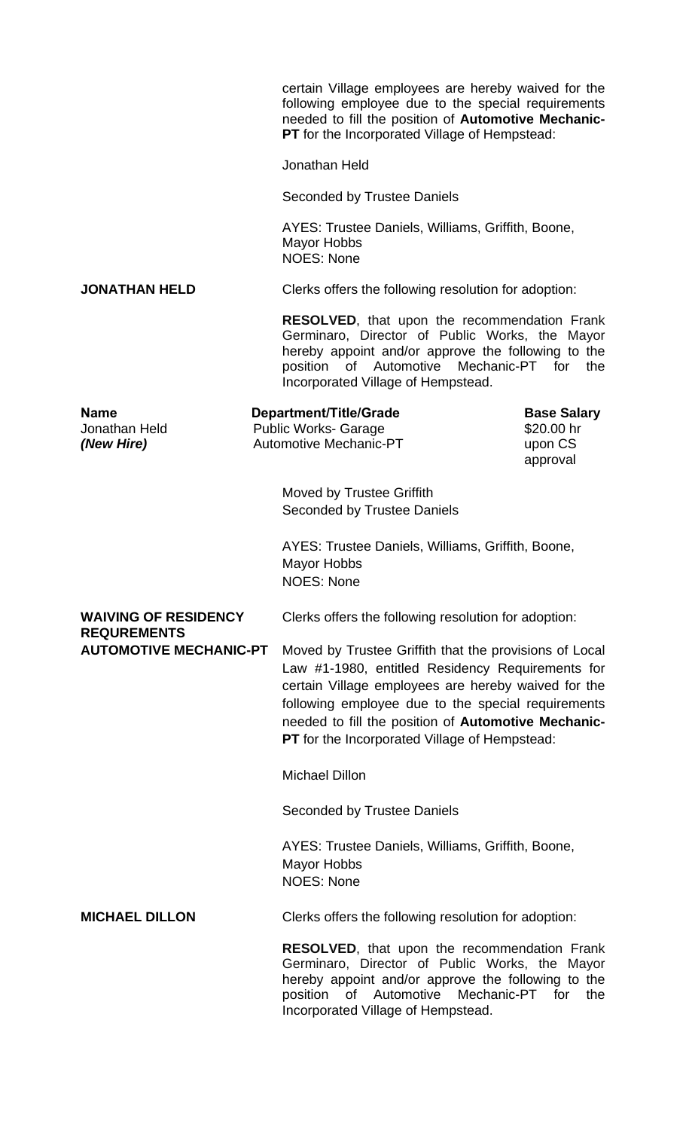|                                                     |  | certain Village employees are hereby waived for the<br>following employee due to the special requirements<br>needed to fill the position of Automotive Mechanic-<br>PT for the Incorporated Village of Hempstead:                                                                                                               |                                                         |     |
|-----------------------------------------------------|--|---------------------------------------------------------------------------------------------------------------------------------------------------------------------------------------------------------------------------------------------------------------------------------------------------------------------------------|---------------------------------------------------------|-----|
|                                                     |  | Jonathan Held                                                                                                                                                                                                                                                                                                                   |                                                         |     |
|                                                     |  | <b>Seconded by Trustee Daniels</b>                                                                                                                                                                                                                                                                                              |                                                         |     |
|                                                     |  | AYES: Trustee Daniels, Williams, Griffith, Boone,<br><b>Mayor Hobbs</b><br><b>NOES: None</b>                                                                                                                                                                                                                                    |                                                         |     |
| <b>JONATHAN HELD</b>                                |  | Clerks offers the following resolution for adoption:                                                                                                                                                                                                                                                                            |                                                         |     |
|                                                     |  | <b>RESOLVED, that upon the recommendation Frank</b><br>Germinaro, Director of Public Works, the Mayor<br>hereby appoint and/or approve the following to the<br>of Automotive Mechanic-PT for<br>position<br>Incorporated Village of Hempstead.                                                                                  |                                                         | the |
| <b>Name</b><br>Jonathan Held<br>(New Hire)          |  | <b>Department/Title/Grade</b><br><b>Public Works- Garage</b><br><b>Automotive Mechanic-PT</b>                                                                                                                                                                                                                                   | <b>Base Salary</b><br>\$20.00 hr<br>upon CS<br>approval |     |
|                                                     |  | Moved by Trustee Griffith<br><b>Seconded by Trustee Daniels</b>                                                                                                                                                                                                                                                                 |                                                         |     |
|                                                     |  | AYES: Trustee Daniels, Williams, Griffith, Boone,<br>Mayor Hobbs<br><b>NOES: None</b>                                                                                                                                                                                                                                           |                                                         |     |
| <b>WAIVING OF RESIDENCY</b>                         |  | Clerks offers the following resolution for adoption:                                                                                                                                                                                                                                                                            |                                                         |     |
| <b>REQUREMENTS</b><br><b>AUTOMOTIVE MECHANIC-PT</b> |  | Moved by Trustee Griffith that the provisions of Local<br>Law #1-1980, entitled Residency Requirements for<br>certain Village employees are hereby waived for the<br>following employee due to the special requirements<br>needed to fill the position of Automotive Mechanic-<br>PT for the Incorporated Village of Hempstead: |                                                         |     |
|                                                     |  | <b>Michael Dillon</b>                                                                                                                                                                                                                                                                                                           |                                                         |     |
|                                                     |  | Seconded by Trustee Daniels                                                                                                                                                                                                                                                                                                     |                                                         |     |
|                                                     |  | AYES: Trustee Daniels, Williams, Griffith, Boone,<br><b>Mayor Hobbs</b><br><b>NOES: None</b>                                                                                                                                                                                                                                    |                                                         |     |
| <b>MICHAEL DILLON</b>                               |  | Clerks offers the following resolution for adoption:                                                                                                                                                                                                                                                                            |                                                         |     |
|                                                     |  | <b>RESOLVED, that upon the recommendation Frank</b><br>Germinaro, Director of Public Works, the Mayor<br>hereby appoint and/or approve the following to the<br>Mechanic-PT for<br>of Automotive<br>position<br>Incorporated Village of Hempstead.                                                                               |                                                         | the |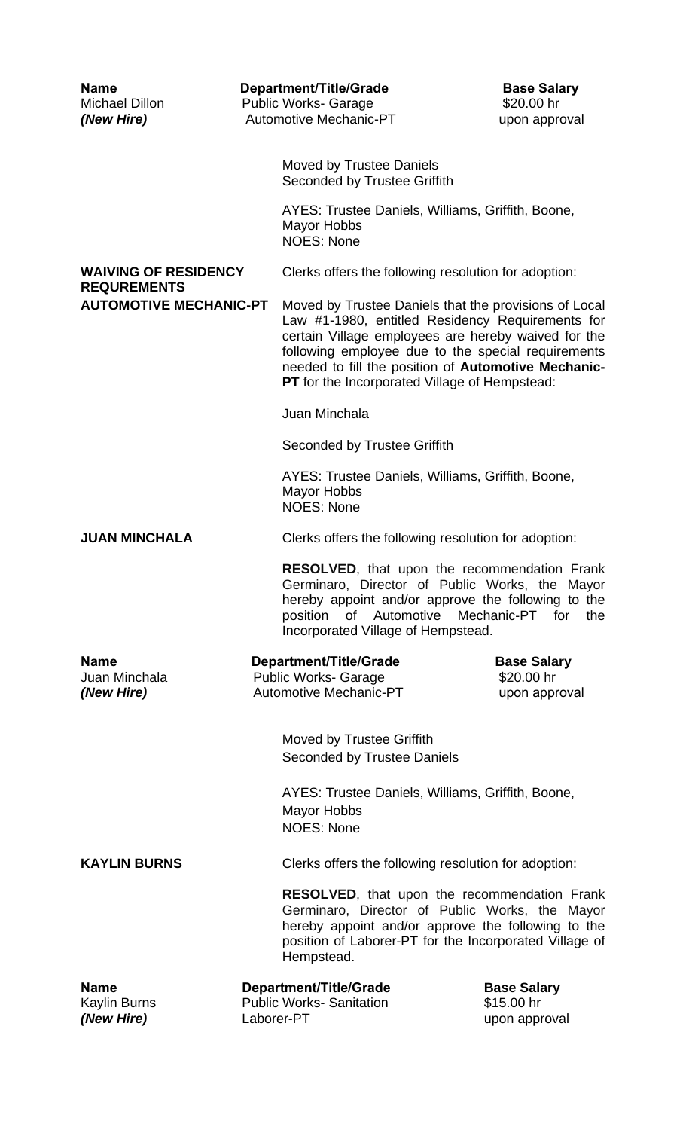| <b>Name</b><br>Michael Dillon<br>(New Hire)                                        |  | Department/Title/Grade<br><b>Public Works- Garage</b><br><b>Automotive Mechanic-PT</b>                                                                                                                                                                                                                                         | <b>Base Salary</b><br>\$20.00 hr<br>upon approval |  |  |
|------------------------------------------------------------------------------------|--|--------------------------------------------------------------------------------------------------------------------------------------------------------------------------------------------------------------------------------------------------------------------------------------------------------------------------------|---------------------------------------------------|--|--|
|                                                                                    |  | <b>Moved by Trustee Daniels</b><br><b>Seconded by Trustee Griffith</b>                                                                                                                                                                                                                                                         |                                                   |  |  |
|                                                                                    |  | AYES: Trustee Daniels, Williams, Griffith, Boone,<br><b>Mayor Hobbs</b><br><b>NOES: None</b>                                                                                                                                                                                                                                   |                                                   |  |  |
| <b>WAIVING OF RESIDENCY</b><br><b>REQUREMENTS</b><br><b>AUTOMOTIVE MECHANIC-PT</b> |  | Clerks offers the following resolution for adoption:                                                                                                                                                                                                                                                                           |                                                   |  |  |
|                                                                                    |  | Moved by Trustee Daniels that the provisions of Local<br>Law #1-1980, entitled Residency Requirements for<br>certain Village employees are hereby waived for the<br>following employee due to the special requirements<br>needed to fill the position of Automotive Mechanic-<br>PT for the Incorporated Village of Hempstead: |                                                   |  |  |
|                                                                                    |  | Juan Minchala                                                                                                                                                                                                                                                                                                                  |                                                   |  |  |
|                                                                                    |  | Seconded by Trustee Griffith                                                                                                                                                                                                                                                                                                   |                                                   |  |  |
|                                                                                    |  | AYES: Trustee Daniels, Williams, Griffith, Boone,<br><b>Mayor Hobbs</b><br><b>NOES: None</b>                                                                                                                                                                                                                                   |                                                   |  |  |
| <b>JUAN MINCHALA</b>                                                               |  | Clerks offers the following resolution for adoption:                                                                                                                                                                                                                                                                           |                                                   |  |  |
|                                                                                    |  | <b>RESOLVED, that upon the recommendation Frank</b><br>Germinaro, Director of Public Works, the Mayor<br>hereby appoint and/or approve the following to the<br>of Automotive Mechanic-PT for<br>position<br>Incorporated Village of Hempstead.                                                                                 | the                                               |  |  |
| <b>Name</b><br>Juan Minchala<br>(New Hire)                                         |  | Department/Title/Grade<br><b>Public Works- Garage</b><br><b>Automotive Mechanic-PT</b>                                                                                                                                                                                                                                         | <b>Base Salary</b><br>\$20.00 hr<br>upon approval |  |  |
|                                                                                    |  | Moved by Trustee Griffith<br><b>Seconded by Trustee Daniels</b>                                                                                                                                                                                                                                                                |                                                   |  |  |
|                                                                                    |  | AYES: Trustee Daniels, Williams, Griffith, Boone,<br><b>Mayor Hobbs</b><br><b>NOES: None</b>                                                                                                                                                                                                                                   |                                                   |  |  |
| <b>KAYLIN BURNS</b>                                                                |  | Clerks offers the following resolution for adoption:                                                                                                                                                                                                                                                                           |                                                   |  |  |
|                                                                                    |  | <b>RESOLVED, that upon the recommendation Frank</b><br>Germinaro, Director of Public Works, the Mayor<br>hereby appoint and/or approve the following to the<br>position of Laborer-PT for the Incorporated Village of<br>Hempstead.                                                                                            |                                                   |  |  |
| <b>Name</b><br><b>Kaylin Burns</b><br>(New Hire)                                   |  | <b>Department/Title/Grade</b><br><b>Public Works-Sanitation</b><br>Laborer-PT                                                                                                                                                                                                                                                  | <b>Base Salary</b><br>\$15.00 hr<br>upon approval |  |  |